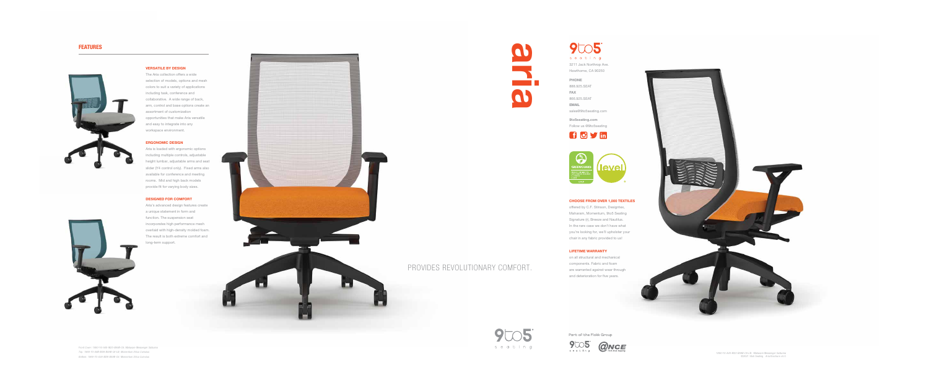## FEATURES





### VERSATILE BY DESIGN

Aria is loaded with ergonomic options including multiple controls, adjustable height lumbar, adjustable arms and seat slider (Y4 control only). Fixed arms also available for conference and meeting rooms. Mid and high back models provide fit for varying body sizes.

The Aria collection offers a wide selection of models, options and mesh colors to suit a variety of applications including task, conference and collaborative. A wide range of back, arm, control and base options create an assortment of customization opportunities that make Aria versatile and easy to integrate into any workspace environment.

## ERGONOMIC DESIGN

### DESIGNED FOR COMFORT

on all structural and mechanical components. Fabric and foam are warranted against wear through and deterioration for five years.







9005 seating 3211 Jack Northrop Ave.

Aria's advanced design features create a unique statement in form and function. The suspension seat incorporates high performance mesh overlaid with high-density molded foam. The result is both extreme comfort and long-term support.





*Front Cover: 1880-Y4-A40-M23-BA9B-C6; Maharam Messenger Satsuma Top: 1860-Y3-A8B-M28-BA9B-C6-LB; Momentum Silica Cumulus Bottom: 1860-Y3-A36-M28-BA9B-C6; Momentum Silica Cumulus*

*1880-Y4-A40-M23-BA9B-C6-LB; Maharam Messenger Satsuma* ©2021 9to5 Seating Aria Brochure v4.0

Part of the Flokk Group



### CHOOSE FROM OVER 1,000 TEXTILES

offered by C.F. Stinson, Designtex, Maharam, Momentum, 9to5 Seating Signature (r), Breeze and Nautilus. In the rare case we don't have what you're looking for, we'll upholster your chair in any fabric provided to us!

## LIFETIME WARRANTY

Hawthorne, CA 90250

PHONE 888.925.SEAT FAX 866.925.SEAT EMAIL sales@9to5seating.com

9to5seating.com Follow us @9to5seating